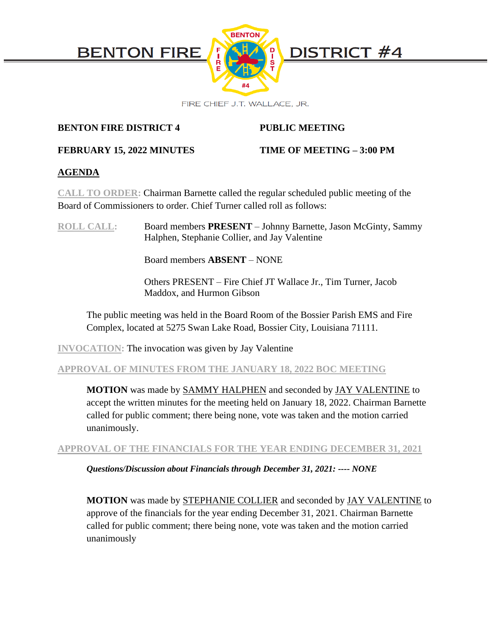

# **BENTON FIRE DISTRICT 4 PUBLIC MEETING**

# **FEBRUARY 15, 2022 MINUTES TIME OF MEETING – 3:00 PM**

# **AGENDA**

**CALL TO ORDER:** Chairman Barnette called the regular scheduled public meeting of the Board of Commissioners to order. Chief Turner called roll as follows:

**ROLL CALL:** Board members **PRESENT** – Johnny Barnette, Jason McGinty, Sammy Halphen, Stephanie Collier, and Jay Valentine

Board members **ABSENT** – NONE

Others PRESENT – Fire Chief JT Wallace Jr., Tim Turner, Jacob Maddox, and Hurmon Gibson

The public meeting was held in the Board Room of the Bossier Parish EMS and Fire Complex, located at 5275 Swan Lake Road, Bossier City, Louisiana 71111.

**INVOCATION:** The invocation was given by Jay Valentine

# **APPROVAL OF MINUTES FROM THE JANUARY 18, 2022 BOC MEETING**

**MOTION** was made by SAMMY HALPHEN and seconded by JAY VALENTINE to accept the written minutes for the meeting held on January 18, 2022. Chairman Barnette called for public comment; there being none, vote was taken and the motion carried unanimously.

**APPROVAL OF THE FINANCIALS FOR THE YEAR ENDING DECEMBER 31, 2021** 

*Questions/Discussion about Financials through December 31, 2021: ---- NONE*

**MOTION** was made by STEPHANIE COLLIER and seconded by JAY VALENTINE to approve of the financials for the year ending December 31, 2021. Chairman Barnette called for public comment; there being none, vote was taken and the motion carried unanimously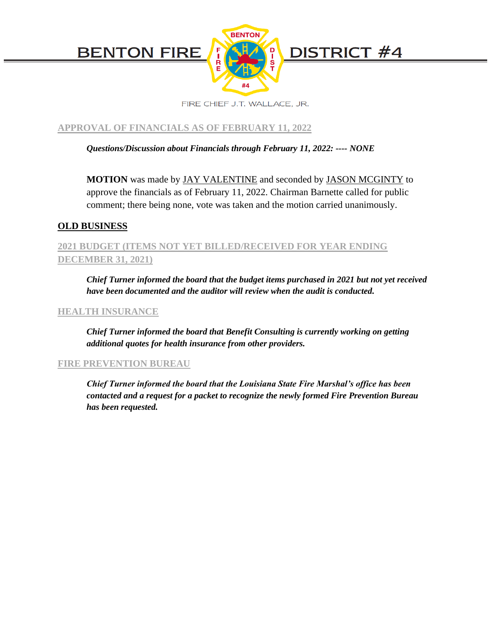

**APPROVAL OF FINANCIALS AS OF FEBRUARY 11, 2022**

*Questions/Discussion about Financials through February 11, 2022: ---- NONE*

**MOTION** was made by JAY VALENTINE and seconded by JASON MCGINTY to approve the financials as of February 11, 2022. Chairman Barnette called for public comment; there being none, vote was taken and the motion carried unanimously.

# **OLD BUSINESS**

# **2021 BUDGET (ITEMS NOT YET BILLED/RECEIVED FOR YEAR ENDING DECEMBER 31, 2021)**

*Chief Turner informed the board that the budget items purchased in 2021 but not yet received have been documented and the auditor will review when the audit is conducted.*

## **HEALTH INSURANCE**

*Chief Turner informed the board that Benefit Consulting is currently working on getting additional quotes for health insurance from other providers.* 

## **FIRE PREVENTION BUREAU**

*Chief Turner informed the board that the Louisiana State Fire Marshal's office has been contacted and a request for a packet to recognize the newly formed Fire Prevention Bureau has been requested.*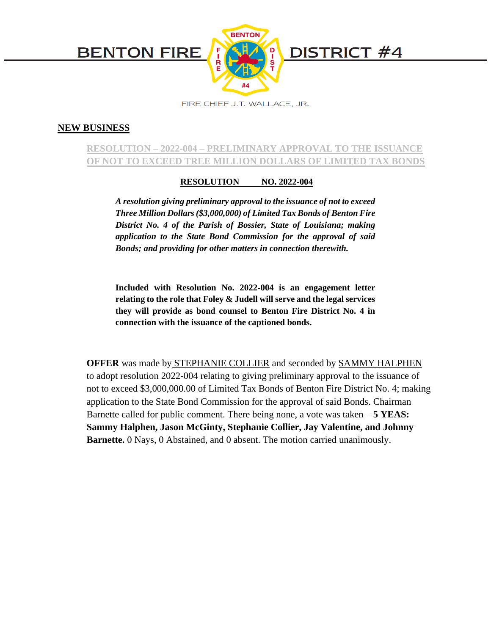

### **NEW BUSINESS**

# **RESOLUTION – 2022-004 – PRELIMINARY APPROVAL TO THE ISSUANCE OF NOT TO EXCEED TREE MILLION DOLLARS OF LIMITED TAX BONDS**

#### **RESOLUTION NO. 2022-004**

*A resolution giving preliminary approval to the issuance of not to exceed Three Million Dollars (\$3,000,000) of Limited Tax Bonds of Benton Fire District No. 4 of the Parish of Bossier, State of Louisiana; making application to the State Bond Commission for the approval of said Bonds; and providing for other matters in connection therewith.*

**Included with Resolution No. 2022-004 is an engagement letter relating to the role that Foley & Judell will serve and the legal services they will provide as bond counsel to Benton Fire District No. 4 in connection with the issuance of the captioned bonds.**

**OFFER** was made by STEPHANIE COLLIER and seconded by SAMMY HALPHEN to adopt resolution 2022-004 relating to giving preliminary approval to the issuance of not to exceed \$3,000,000.00 of Limited Tax Bonds of Benton Fire District No. 4; making application to the State Bond Commission for the approval of said Bonds. Chairman Barnette called for public comment. There being none, a vote was taken – **5 YEAS: Sammy Halphen, Jason McGinty, Stephanie Collier, Jay Valentine, and Johnny Barnette.** 0 Nays, 0 Abstained, and 0 absent. The motion carried unanimously.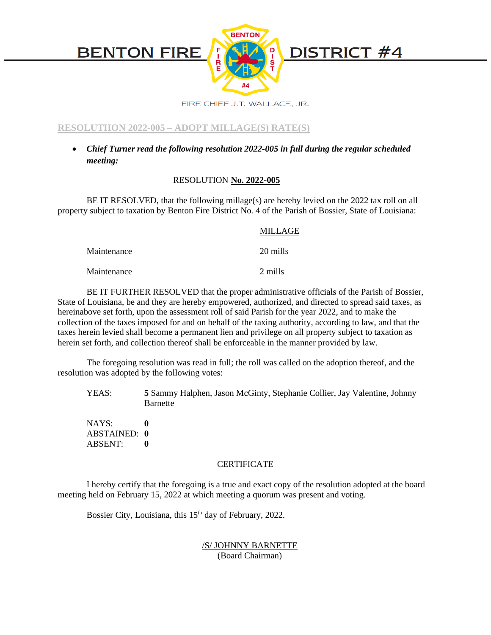

**RESOLUTIION 2022-005 – ADOPT MILLAGE(S) RATE(S)**

• *Chief Turner read the following resolution 2022-005 in full during the regular scheduled meeting:*

#### RESOLUTION **No. 2022-005**

BE IT RESOLVED, that the following millage(s) are hereby levied on the 2022 tax roll on all property subject to taxation by Benton Fire District No. 4 of the Parish of Bossier, State of Louisiana:

#### MILLAGE

Maintenance 20 mills

Maintenance 2 mills

BE IT FURTHER RESOLVED that the proper administrative officials of the Parish of Bossier, State of Louisiana, be and they are hereby empowered, authorized, and directed to spread said taxes, as hereinabove set forth, upon the assessment roll of said Parish for the year 2022, and to make the collection of the taxes imposed for and on behalf of the taxing authority, according to law, and that the taxes herein levied shall become a permanent lien and privilege on all property subject to taxation as herein set forth, and collection thereof shall be enforceable in the manner provided by law.

The foregoing resolution was read in full; the roll was called on the adoption thereof, and the resolution was adopted by the following votes:

YEAS: **5** Sammy Halphen, Jason McGinty, Stephanie Collier, Jay Valentine, Johnny Barnette

NAYS: **0** ABSTAINED: **0** ABSENT: **0**

#### **CERTIFICATE**

I hereby certify that the foregoing is a true and exact copy of the resolution adopted at the board meeting held on February 15, 2022 at which meeting a quorum was present and voting.

Bossier City, Louisiana, this 15<sup>th</sup> day of February, 2022.

/S/ JOHNNY BARNETTE (Board Chairman)